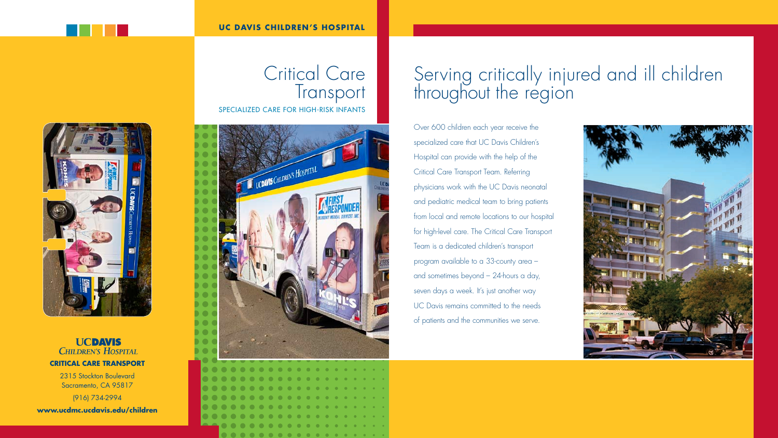**UCDAVIS CHILDREN'S HOSPITAL critical care transport**

2315 Stockton Boulevard Sacramento, CA 95817 (916) 734-2994

**www.ucdmc.ucdavis.edu/children**



#### **UC DAVIS CHILDREN'S HOSPITAL**



## Critical Care **Transport** specialized care for high-risk infants



# Serving critically injured and ill children throughout the region

Over 600 children each year receive the specialized care that UC Davis Children's Hospital can provide with the help of the Critical Care Transport Team. Referring physicians work with the UC Davis neonatal and pediatric medical team to bring patients from local and remote locations to our hospital for high-level care. The Critical Care Transport Team is a dedicated children's transport program available to a 33-county area – and sometimes beyond – 24-hours a day, seven days a week. It's just another way UC Davis remains committed to the needs of patients and the communities we serve.